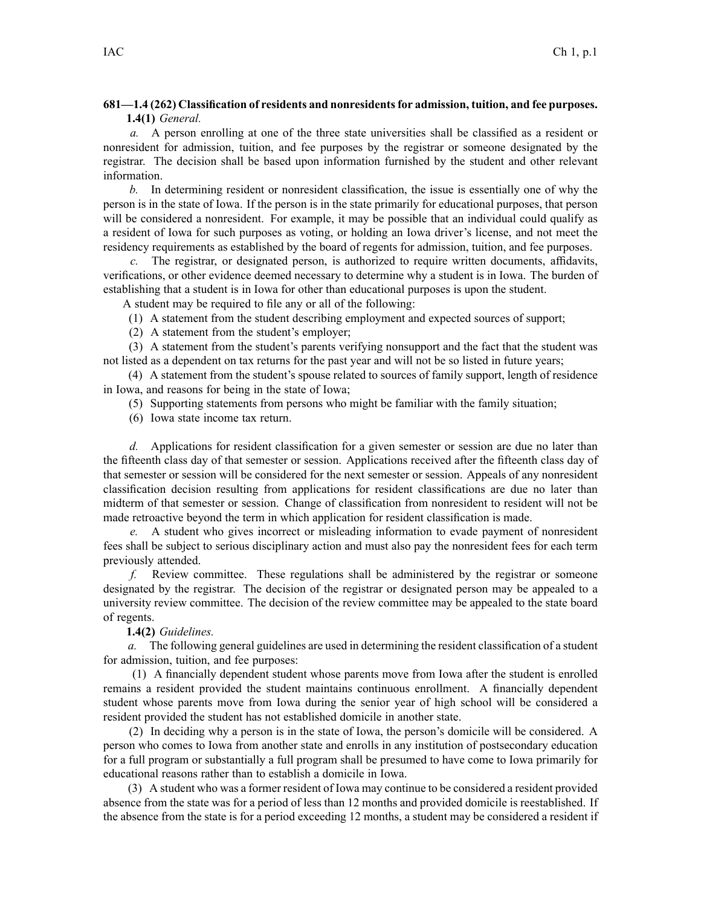## **681—1.4 (262) Classification of residents and nonresidentsfor admission, tuition, and fee purposes. 1.4(1)** *General.*

*a.* A person enrolling at one of the three state universities shall be classified as <sup>a</sup> resident or nonresident for admission, tuition, and fee purposes by the registrar or someone designated by the registrar. The decision shall be based upon information furnished by the student and other relevant information.

*b.* In determining resident or nonresident classification, the issue is essentially one of why the person is in the state of Iowa. If the person is in the state primarily for educational purposes, that person will be considered <sup>a</sup> nonresident. For example, it may be possible that an individual could qualify as <sup>a</sup> resident of Iowa for such purposes as voting, or holding an Iowa driver's license, and not meet the residency requirements as established by the board of regents for admission, tuition, and fee purposes.

*c.* The registrar, or designated person, is authorized to require written documents, affidavits, verifications, or other evidence deemed necessary to determine why <sup>a</sup> student is in Iowa. The burden of establishing that <sup>a</sup> student is in Iowa for other than educational purposes is upon the student.

A student may be required to file any or all of the following:

(1) A statement from the student describing employment and expected sources of support;

(2) A statement from the student's employer;

(3) A statement from the student's parents verifying nonsuppor<sup>t</sup> and the fact that the student was not listed as <sup>a</sup> dependent on tax returns for the pas<sup>t</sup> year and will not be so listed in future years;

(4) A statement from the student's spouse related to sources of family support, length of residence in Iowa, and reasons for being in the state of Iowa;

(5) Supporting statements from persons who might be familiar with the family situation;

(6) Iowa state income tax return.

*d.* Applications for resident classification for <sup>a</sup> given semester or session are due no later than the fifteenth class day of that semester or session. Applications received after the fifteenth class day of that semester or session will be considered for the next semester or session. Appeals of any nonresident classification decision resulting from applications for resident classifications are due no later than midterm of that semester or session. Change of classification from nonresident to resident will not be made retroactive beyond the term in which application for resident classification is made.

*e.* A student who gives incorrect or misleading information to evade paymen<sup>t</sup> of nonresident fees shall be subject to serious disciplinary action and must also pay the nonresident fees for each term previously attended.

*f.* Review committee. These regulations shall be administered by the registrar or someone designated by the registrar. The decision of the registrar or designated person may be appealed to <sup>a</sup> university review committee. The decision of the review committee may be appealed to the state board of regents.

## **1.4(2)** *Guidelines.*

*a.* The following general guidelines are used in determining the resident classification of <sup>a</sup> student for admission, tuition, and fee purposes:

(1) A financially dependent student whose parents move from Iowa after the student is enrolled remains <sup>a</sup> resident provided the student maintains continuous enrollment. A financially dependent student whose parents move from Iowa during the senior year of high school will be considered <sup>a</sup> resident provided the student has not established domicile in another state.

(2) In deciding why <sup>a</sup> person is in the state of Iowa, the person's domicile will be considered. A person who comes to Iowa from another state and enrolls in any institution of postsecondary education for <sup>a</sup> full program or substantially <sup>a</sup> full program shall be presumed to have come to Iowa primarily for educational reasons rather than to establish <sup>a</sup> domicile in Iowa.

(3) A student who was <sup>a</sup> former resident of Iowa may continue to be considered <sup>a</sup> resident provided absence from the state was for <sup>a</sup> period of less than 12 months and provided domicile is reestablished. If the absence from the state is for <sup>a</sup> period exceeding 12 months, <sup>a</sup> student may be considered <sup>a</sup> resident if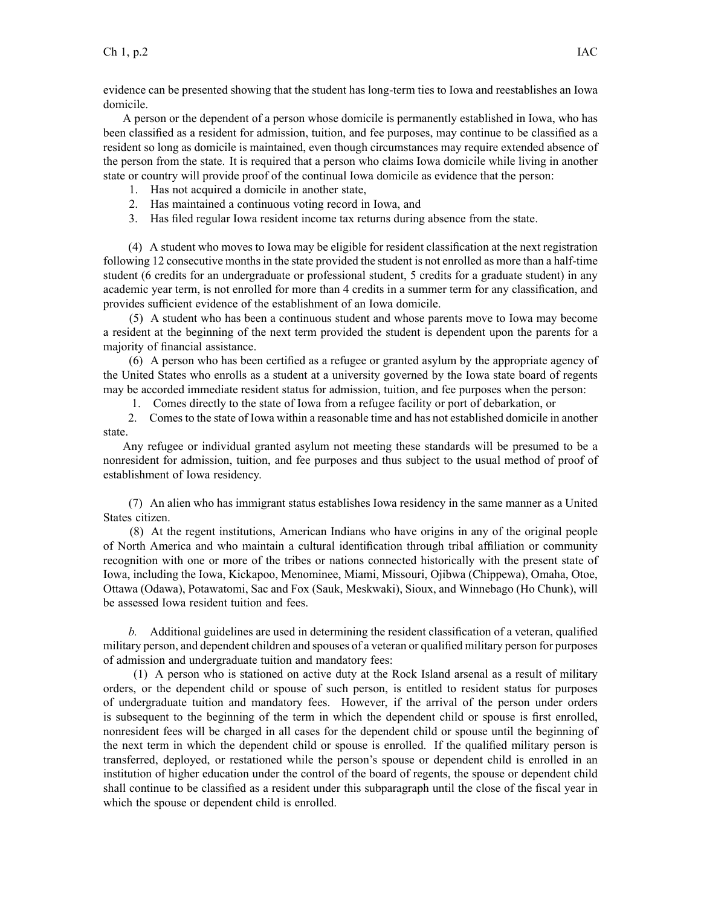evidence can be presented showing that the student has long-term ties to Iowa and reestablishes an Iowa domicile.

A person or the dependent of <sup>a</sup> person whose domicile is permanently established in Iowa, who has been classified as <sup>a</sup> resident for admission, tuition, and fee purposes, may continue to be classified as <sup>a</sup> resident so long as domicile is maintained, even though circumstances may require extended absence of the person from the state. It is required that <sup>a</sup> person who claims Iowa domicile while living in another state or country will provide proof of the continual Iowa domicile as evidence that the person:

- 1. Has not acquired <sup>a</sup> domicile in another state,
- 2. Has maintained <sup>a</sup> continuous voting record in Iowa, and
- 3. Has filed regular Iowa resident income tax returns during absence from the state.

(4) A student who moves to Iowa may be eligible for resident classification at the next registration following 12 consecutive monthsin the state provided the student is not enrolled as more than <sup>a</sup> half-time student (6 credits for an undergraduate or professional student, 5 credits for <sup>a</sup> graduate student) in any academic year term, is not enrolled for more than 4 credits in <sup>a</sup> summer term for any classification, and provides sufficient evidence of the establishment of an Iowa domicile.

(5) A student who has been <sup>a</sup> continuous student and whose parents move to Iowa may become <sup>a</sup> resident at the beginning of the next term provided the student is dependent upon the parents for <sup>a</sup> majority of financial assistance.

(6) A person who has been certified as <sup>a</sup> refugee or granted asylum by the appropriate agency of the United States who enrolls as <sup>a</sup> student at <sup>a</sup> university governed by the Iowa state board of regents may be accorded immediate resident status for admission, tuition, and fee purposes when the person:

1. Comes directly to the state of Iowa from <sup>a</sup> refugee facility or por<sup>t</sup> of debarkation, or

2. Comes to the state of Iowa within <sup>a</sup> reasonable time and has not established domicile in another state.

Any refugee or individual granted asylum not meeting these standards will be presumed to be <sup>a</sup> nonresident for admission, tuition, and fee purposes and thus subject to the usual method of proof of establishment of Iowa residency.

(7) An alien who has immigrant status establishes Iowa residency in the same manner as <sup>a</sup> United States citizen.

(8) At the regen<sup>t</sup> institutions, American Indians who have origins in any of the original people of North America and who maintain <sup>a</sup> cultural identification through tribal affiliation or community recognition with one or more of the tribes or nations connected historically with the presen<sup>t</sup> state of Iowa, including the Iowa, Kickapoo, Menominee, Miami, Missouri, Ojibwa (Chippewa), Omaha, Otoe, Ottawa (Odawa), Potawatomi, Sac and Fox (Sauk, Meskwaki), Sioux, and Winnebago (Ho Chunk), will be assessed Iowa resident tuition and fees.

*b.* Additional guidelines are used in determining the resident classification of <sup>a</sup> veteran, qualified military person, and dependent children and spouses of <sup>a</sup> veteran or qualified military person for purposes of admission and undergraduate tuition and mandatory fees:

(1) A person who is stationed on active duty at the Rock Island arsenal as <sup>a</sup> result of military orders, or the dependent child or spouse of such person, is entitled to resident status for purposes of undergraduate tuition and mandatory fees. However, if the arrival of the person under orders is subsequent to the beginning of the term in which the dependent child or spouse is first enrolled, nonresident fees will be charged in all cases for the dependent child or spouse until the beginning of the next term in which the dependent child or spouse is enrolled. If the qualified military person is transferred, deployed, or restationed while the person's spouse or dependent child is enrolled in an institution of higher education under the control of the board of regents, the spouse or dependent child shall continue to be classified as <sup>a</sup> resident under this subparagraph until the close of the fiscal year in which the spouse or dependent child is enrolled.